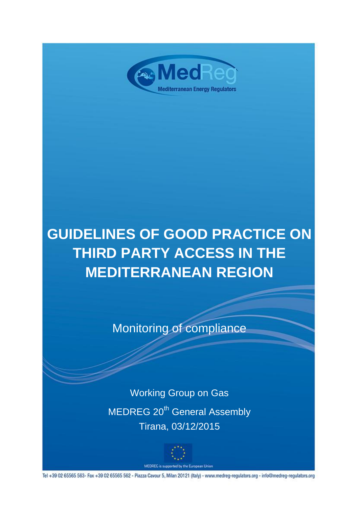

# **GUIDELINES OF GOOD PRACTICE ON THIRD PARTY ACCESS IN THE MEDITERRANEAN REGION**

Monitoring of compliance

Working Group on Gas MEDREG 20<sup>th</sup> General Assembly Tirana, 03/12/2015



MEDREG is supported by the European Union

Tel +39 02 65565 563- Fax +39 02 65565 562 - Piazza Cavour 5, Milan 20121 (Italy) - www.medreg-regulators.org - info@medreg-regulators.org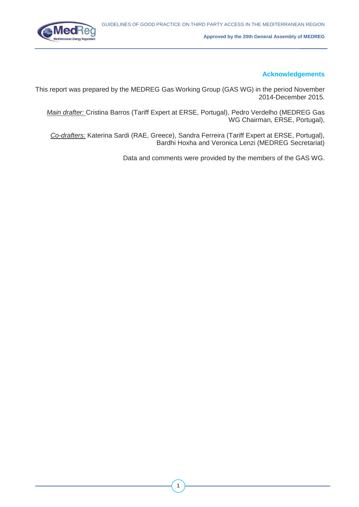

#### **Acknowledgements**

This report was prepared by the MEDREG Gas Working Group (GAS WG) in the period November 2014-December 2015.

*Main drafter:* Cristina Barros (Tariff Expert at ERSE, Portugal), Pedro Verdelho (MEDREG Gas WG Chairman, ERSE, Portugal),

*Co-drafters:* Katerina Sardi (RAE, Greece), Sandra Ferreira (Tariff Expert at ERSE, Portugal), Bardhi Hoxha and Veronica Lenzi (MEDREG Secretariat)

Data and comments were provided by the members of the GAS WG.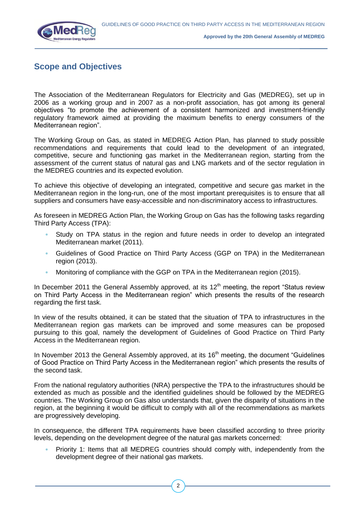

## **Scope and Objectives**

The Association of the Mediterranean Regulators for Electricity and Gas (MEDREG), set up in 2006 as a working group and in 2007 as a non-profit association, has got among its general objectives "to promote the achievement of a consistent harmonized and investment-friendly regulatory framework aimed at providing the maximum benefits to energy consumers of the Mediterranean region".

The Working Group on Gas, as stated in MEDREG Action Plan, has planned to study possible recommendations and requirements that could lead to the development of an integrated, competitive, secure and functioning gas market in the Mediterranean region, starting from the assessment of the current status of natural gas and LNG markets and of the sector regulation in the MEDREG countries and its expected evolution.

To achieve this objective of developing an integrated, competitive and secure gas market in the Mediterranean region in the long-run, one of the most important prerequisites is to ensure that all suppliers and consumers have easy-accessible and non-discriminatory access to infrastructures.

As foreseen in MEDREG Action Plan, the Working Group on Gas has the following tasks regarding Third Party Access (TPA):

- Study on TPA status in the region and future needs in order to develop an integrated Mediterranean market (2011).
- Guidelines of Good Practice on Third Party Access (GGP on TPA) in the Mediterranean region (2013).
- Monitoring of compliance with the GGP on TPA in the Mediterranean region (2015).

In December 2011 the General Assembly approved, at its  $12<sup>th</sup>$  meeting, the report "Status review on Third Party Access in the Mediterranean region" which presents the results of the research regarding the first task.

In view of the results obtained, it can be stated that the situation of TPA to infrastructures in the Mediterranean region gas markets can be improved and some measures can be proposed pursuing to this goal, namely the development of Guidelines of Good Practice on Third Party Access in the Mediterranean region.

In November 2013 the General Assembly approved, at its  $16<sup>th</sup>$  meeting, the document "Guidelines" of Good Practice on Third Party Access in the Mediterranean region" which presents the results of the second task.

From the national regulatory authorities (NRA) perspective the TPA to the infrastructures should be extended as much as possible and the identified guidelines should be followed by the MEDREG countries. The Working Group on Gas also understands that, given the disparity of situations in the region, at the beginning it would be difficult to comply with all of the recommendations as markets are progressively developing.

In consequence, the different TPA requirements have been classified according to three priority levels, depending on the development degree of the natural gas markets concerned:

• Priority 1: Items that all MEDREG countries should comply with, independently from the development degree of their national gas markets.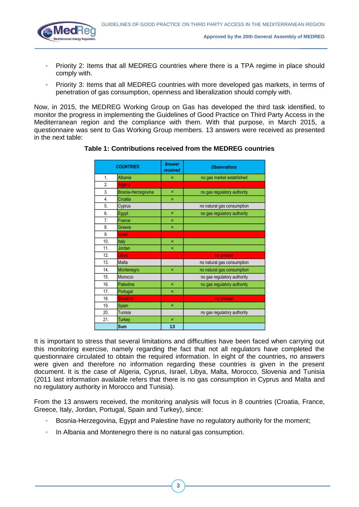

- Priority 2: Items that all MEDREG countries where there is a TPA regime in place should comply with.
- Priority 3: Items that all MEDREG countries with more developed gas markets, in terms of penetration of gas consumption, openness and liberalization should comply with.

Now, in 2015, the MEDREG Working Group on Gas has developed the third task identified, to monitor the progress in implementing the Guidelines of Good Practice on Third Party Access in the Mediterranean region and the compliance with them. With that purpose, in March 2015, a questionnaire was sent to Gas Working Group members. 13 answers were received as presented in the next table:

|     | <b>COUNTRIES</b>   | <b>Answer</b><br>received | <b>Observations</b>         |
|-----|--------------------|---------------------------|-----------------------------|
| 1.  | Albania            | ×                         | no gas market established   |
| 2.  | <b>Algeria</b>     |                           |                             |
| 3.  | Bosnia-Herzegovina | $\boldsymbol{\mathsf{x}}$ | no gas regulatory authority |
| 4.  | Croatia            | ×                         |                             |
| 5.  | Cyprus             |                           | no natural gas consumption  |
| 6.  | Egypt              | $\boldsymbol{\mathsf{x}}$ | no gas regulatory authority |
| 7.  | France             | $\boldsymbol{\mathsf{x}}$ |                             |
| 8.  | Greece             | $\boldsymbol{\mathsf{x}}$ |                             |
| 9.  | <b>Israel</b>      |                           |                             |
| 10. | Italy              | ×                         |                             |
| 11. | Jordan             | ×                         |                             |
| 12. | Libya              |                           | no answer                   |
| 13. | Malta              |                           | no natural gas consumption  |
| 14. | Montenegro         | ×                         | no natural gas consumption  |
| 15. | Morocco            |                           | no gas regulatory authority |
| 16. | Palestine          | ×                         | no gas regulatory authority |
| 17. | Portugal           | ×                         |                             |
| 18. | <b>Slovenia</b>    |                           | no answer                   |
| 19. | Spain              | ×                         |                             |
| 20. | Tunisia            |                           | no gas regulatory authority |
| 21. | <b>Turkey</b>      | $\boldsymbol{\mathsf{x}}$ |                             |
|     | Sum                | 13                        |                             |

#### **Table 1: Contributions received from the MEDREG countries**

It is important to stress that several limitations and difficulties have been faced when carrying out this monitoring exercise, namely regarding the fact that not all regulators have completed the questionnaire circulated to obtain the required information. In eight of the countries, no answers were given and therefore no information regarding these countries is given in the present document. It is the case of Algeria, Cyprus, Israel, Libya, Malta, Morocco, Slovenia and Tunisia (2011 last information available refers that there is no gas consumption in Cyprus and Malta and no regulatory authority in Morocco and Tunisia).

From the 13 answers received, the monitoring analysis will focus in 8 countries (Croatia, France, Greece, Italy, Jordan, Portugal, Spain and Turkey), since:

- Bosnia-Herzegovina, Egypt and Palestine have no regulatory authority for the moment;
- In Albania and Montenegro there is no natural gas consumption.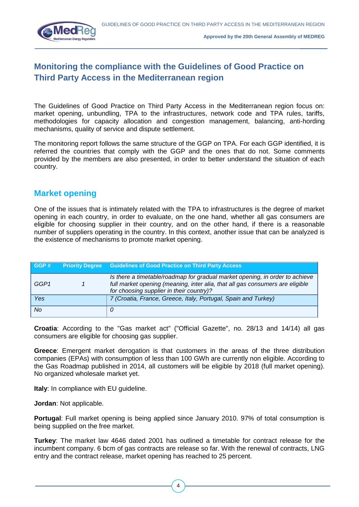

# **Monitoring the compliance with the Guidelines of Good Practice on Third Party Access in the Mediterranean region**

The Guidelines of Good Practice on Third Party Access in the Mediterranean region focus on: market opening, unbundling, TPA to the infrastructures, network code and TPA rules, tariffs, methodologies for capacity allocation and congestion management, balancing, anti-hording mechanisms, quality of service and dispute settlement.

The monitoring report follows the same structure of the GGP on TPA. For each GGP identified, it is referred the countries that comply with the GGP and the ones that do not. Some comments provided by the members are also presented, in order to better understand the situation of each country.

#### **Market opening**

One of the issues that is intimately related with the TPA to infrastructures is the degree of market opening in each country, in order to evaluate, on the one hand, whether all gas consumers are eligible for choosing supplier in their country, and on the other hand, if there is a reasonable number of suppliers operating in the country. In this context, another issue that can be analyzed is the existence of mechanisms to promote market opening.

| GGP# | <b>Priority Degree</b> Guidelines of Good Practice on Third Party Access                                                                                                                                  |
|------|-----------------------------------------------------------------------------------------------------------------------------------------------------------------------------------------------------------|
| GGP1 | Is there a timetable/roadmap for gradual market opening, in order to achieve<br>full market opening (meaning, inter alia, that all gas consumers are eligible<br>for choosing supplier in their country)? |
| Yes  | 7 (Croatia, France, Greece, Italy, Portugal, Spain and Turkey)                                                                                                                                            |
| No   |                                                                                                                                                                                                           |

**Croatia**: According to the "Gas market act" ("Official Gazette", no. 28/13 and 14/14) all gas consumers are eligible for choosing gas supplier.

**Greece**: Emergent market derogation is that customers in the areas of the three distribution companies (EPAs) with consumption of less than 100 GWh are currently non eligible. According to the Gas Roadmap published in 2014, all customers will be eligible by 2018 (full market opening). No organized wholesale market yet.

**Italy**: In compliance with EU guideline.

**Jordan**: Not applicable.

**Portugal**: Full market opening is being applied since January 2010. 97% of total consumption is being supplied on the free market.

**Turkey**: The market law 4646 dated 2001 has outlined a timetable for contract release for the incumbent company. 6 bcm of gas contracts are release so far. With the renewal of contracts, LNG entry and the contract release, market opening has reached to 25 percent.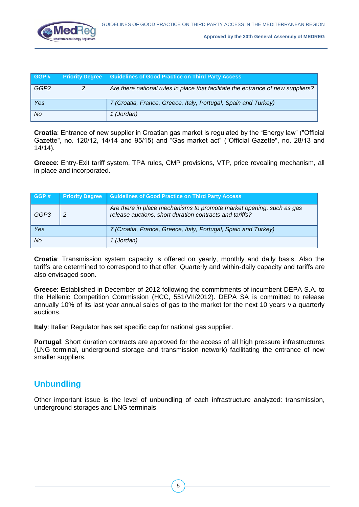

| GGP#      | <b>Priority Degree</b> | <b>Guidelines of Good Practice on Third Party Access</b>                         |
|-----------|------------------------|----------------------------------------------------------------------------------|
| GGP2      |                        | Are there national rules in place that facilitate the entrance of new suppliers? |
| Yes       |                        | 7 (Croatia, France, Greece, Italy, Portugal, Spain and Turkey)                   |
| <b>No</b> |                        | 1 (Jordan)                                                                       |

**Croatia**: Entrance of new supplier in Croatian gas market is regulated by the "Energy law" ("Official Gazette", no. 120/12, 14/14 and 95/15) and "Gas market act" ("Official Gazette", no. 28/13 and 14/14).

**Greece**: Entry-Exit tariff system, TPA rules, CMP provisions, VTP, price revealing mechanism, all in place and incorporated.

| GGP# | <b>Priority Degree</b> | <b>Guidelines of Good Practice on Third Party Access</b>                                                                        |
|------|------------------------|---------------------------------------------------------------------------------------------------------------------------------|
| GGP3 | $\overline{2}$         | Are there in place mechanisms to promote market opening, such as gas<br>release auctions, short duration contracts and tariffs? |
| Yes  |                        | 7 (Croatia, France, Greece, Italy, Portugal, Spain and Turkey)                                                                  |
| No   |                        | 1 (Jordan)                                                                                                                      |

**Croatia**: Transmission system capacity is offered on yearly, monthly and daily basis. Also the tariffs are determined to correspond to that offer. Quarterly and within-daily capacity and tariffs are also envisaged soon.

**Greece**: Established in December of 2012 following the commitments of incumbent DEPA S.A. to the Hellenic Competition Commission (HCC, 551/VII/2012). DEPA SA is committed to release annually 10% of its last year annual sales of gas to the market for the next 10 years via quarterly auctions.

**Italy**: Italian Regulator has set specific cap for national gas supplier.

**Portugal:** Short duration contracts are approved for the access of all high pressure infrastructures (LNG terminal, underground storage and transmission network) facilitating the entrance of new smaller suppliers.

## **Unbundling**

Other important issue is the level of unbundling of each infrastructure analyzed: transmission, underground storages and LNG terminals.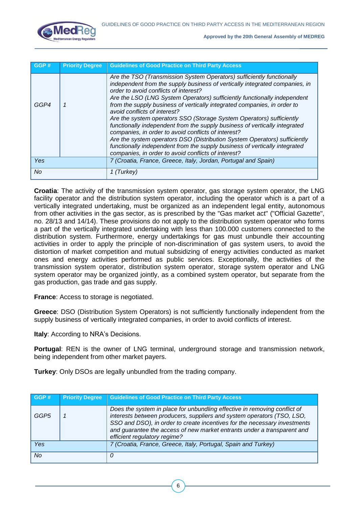

| GGP# | <b>Priority Degree</b> | <b>Guidelines of Good Practice on Third Party Access</b>                                                                                                                                                                                                                                                                                                                                                                                                                                                                                                                                                                                                                                                                                                                                                             |
|------|------------------------|----------------------------------------------------------------------------------------------------------------------------------------------------------------------------------------------------------------------------------------------------------------------------------------------------------------------------------------------------------------------------------------------------------------------------------------------------------------------------------------------------------------------------------------------------------------------------------------------------------------------------------------------------------------------------------------------------------------------------------------------------------------------------------------------------------------------|
| GGP4 |                        | Are the TSO (Transmission System Operators) sufficiently functionally<br>independent from the supply business of vertically integrated companies, in<br>order to avoid conflicts of interest?<br>Are the LSO (LNG System Operators) sufficiently functionally independent<br>from the supply business of vertically integrated companies, in order to<br>avoid conflicts of interest?<br>Are the system operators SSO (Storage System Operators) sufficiently<br>functionally independent from the supply business of vertically integrated<br>companies, in order to avoid conflicts of interest?<br>Are the system operators DSO (Distribution System Operators) sufficiently<br>functionally independent from the supply business of vertically integrated<br>companies, in order to avoid conflicts of interest? |
| Yes  |                        | 7 (Croatia, France, Greece, Italy, Jordan, Portugal and Spain)                                                                                                                                                                                                                                                                                                                                                                                                                                                                                                                                                                                                                                                                                                                                                       |
| No.  |                        | 1 (Turkey)                                                                                                                                                                                                                                                                                                                                                                                                                                                                                                                                                                                                                                                                                                                                                                                                           |

**Croatia**: The activity of the transmission system operator, gas storage system operator, the LNG facility operator and the distribution system operator, including the operator which is a part of a vertically integrated undertaking, must be organized as an independent legal entity, autonomous from other activities in the gas sector, as is prescribed by the "Gas market act" ("Official Gazette", no. 28/13 and 14/14). These provisions do not apply to the distribution system operator who forms a part of the vertically integrated undertaking with less than 100.000 customers connected to the distribution system. Furthermore, energy undertakings for gas must unbundle their accounting activities in order to apply the principle of non-discrimination of gas system users, to avoid the distortion of market competition and mutual subsidizing of energy activities conducted as market ones and energy activities performed as public services. Exceptionally, the activities of the transmission system operator, distribution system operator, storage system operator and LNG system operator may be organized jointly, as a combined system operator, but separate from the gas production, gas trade and gas supply.

**France:** Access to storage is negotiated.

**Greece**: DSO (Distribution System Operators) is not sufficiently functionally independent from the supply business of vertically integrated companies, in order to avoid conflicts of interest.

**Italy**: According to NRA's Decisions.

**Portugal**: REN is the owner of LNG terminal, underground storage and transmission network, being independent from other market payers.

**Turkey**: Only DSOs are legally unbundled from the trading company.

| GGP# | <b>Priority Degree</b> | <b>Guidelines of Good Practice on Third Party Access</b>                                                                                                                                                                                                                                                                                    |
|------|------------------------|---------------------------------------------------------------------------------------------------------------------------------------------------------------------------------------------------------------------------------------------------------------------------------------------------------------------------------------------|
| GGP5 |                        | Does the system in place for unbundling effective in removing conflict of<br>interests between producers, suppliers and system operators (TSO, LSO,<br>SSO and DSO), in order to create incentives for the necessary investments<br>and guarantee the access of new market entrants under a transparent and<br>efficient regulatory regime? |
| Yes  |                        | 7 (Croatia, France, Greece, Italy, Portugal, Spain and Turkey)                                                                                                                                                                                                                                                                              |
| No   |                        | 0                                                                                                                                                                                                                                                                                                                                           |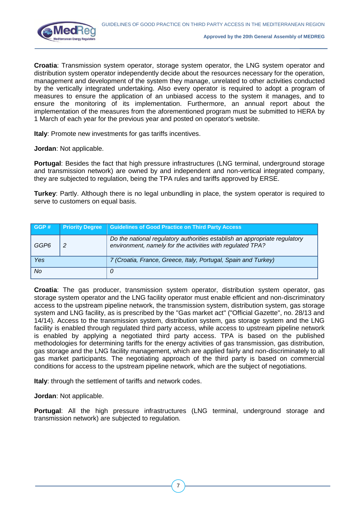

**Croatia**: Transmission system operator, storage system operator, the LNG system operator and distribution system operator independently decide about the resources necessary for the operation, management and development of the system they manage, unrelated to other activities conducted by the vertically integrated undertaking. Also every operator is required to adopt a program of measures to ensure the application of an unbiased access to the system it manages, and to ensure the monitoring of its implementation. Furthermore, an annual report about the implementation of the measures from the aforementioned program must be submitted to HERA by 1 March of each year for the previous year and posted on operator's website.

**Italy:** Promote new investments for gas tariffs incentives.

**Jordan**: Not applicable.

**Portugal**: Besides the fact that high pressure infrastructures (LNG terminal, underground storage and transmission network) are owned by and independent and non-vertical integrated company, they are subjected to regulation, being the TPA rules and tariffs approved by ERSE.

**Turkey**: Partly. Although there is no legal unbundling in place, the system operator is required to serve to customers on equal basis.

| GGP# | <b>Priority Degree</b> | <b>Guidelines of Good Practice on Third Party Access</b>                                                                                 |
|------|------------------------|------------------------------------------------------------------------------------------------------------------------------------------|
| GGP6 | $\overline{2}$         | Do the national regulatory authorities establish an appropriate regulatory<br>environment, namely for the activities with regulated TPA? |
| Yes  |                        | 7 (Croatia, France, Greece, Italy, Portugal, Spain and Turkey)                                                                           |
| No   |                        |                                                                                                                                          |

**Croatia**: The gas producer, transmission system operator, distribution system operator, gas storage system operator and the LNG facility operator must enable efficient and non-discriminatory access to the upstream pipeline network, the transmission system, distribution system, gas storage system and LNG facility, as is prescribed by the "Gas market act" ("Official Gazette", no. 28/13 and 14/14). Access to the transmission system, distribution system, gas storage system and the LNG facility is enabled through regulated third party access, while access to upstream pipeline network is enabled by applying a negotiated third party access. TPA is based on the published methodologies for determining tariffs for the energy activities of gas transmission, gas distribution, gas storage and the LNG facility management, which are applied fairly and non-discriminately to all gas market participants. The negotiating approach of the third party is based on commercial conditions for access to the upstream pipeline network, which are the subject of negotiations.

**Italy**: through the settlement of tariffs and network codes.

**Jordan**: Not applicable.

**Portugal**: All the high pressure infrastructures (LNG terminal, underground storage and transmission network) are subjected to regulation.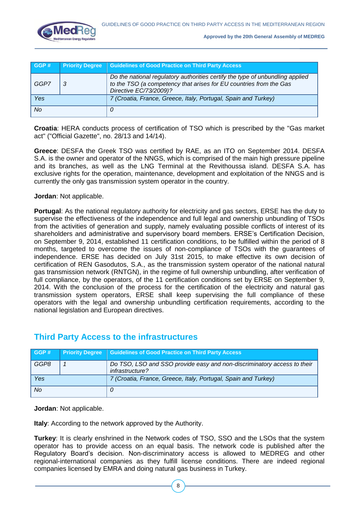

| GGP# | <b>Priority Degree</b> | <b>Guidelines of Good Practice on Third Party Access</b>                                                                                                                      |
|------|------------------------|-------------------------------------------------------------------------------------------------------------------------------------------------------------------------------|
| GGP7 | -3                     | Do the national regulatory authorities certify the type of unbundling applied<br>to the TSO (a competency that arises for EU countries from the Gas<br>Directive EC/73/2009)? |
| Yes  |                        | 7 (Croatia, France, Greece, Italy, Portugal, Spain and Turkey)                                                                                                                |
| No   |                        |                                                                                                                                                                               |

**Croatia**: HERA conducts process of certification of TSO which is prescribed by the "Gas market act" ("Official Gazette", no. 28/13 and 14/14).

**Greece**: DESFA the Greek TSO was certified by RAE, as an ITO on September 2014. DESFA S.A. is the owner and operator of the NNGS, which is comprised of the main high pressure pipeline and its branches, as well as the LNG Terminal at the Revithoussa island. DESFA S.A. has exclusive rights for the operation, maintenance, development and exploitation of the NNGS and is currently the only gas transmission system operator in the country.

**Jordan**: Not applicable.

**Portugal**: As the national regulatory authority for electricity and gas sectors, ERSE has the duty to supervise the effectiveness of the independence and full legal and ownership unbundling of TSOs from the activities of generation and supply, namely evaluating possible conflicts of interest of its shareholders and administrative and supervisory board members. ERSE's Certification Decision, on September 9, 2014, established 11 certification conditions, to be fulfilled within the period of 8 months, targeted to overcome the issues of non-compliance of TSOs with the guarantees of independence. ERSE has decided on July 31st 2015, to make effective its own decision of certification of REN Gasodutos, S.A., as the transmission system operator of the national natural gas transmission network (RNTGN), in the regime of full ownership unbundling, after verification of full compliance, by the operators, of the 11 certification conditions set by ERSE on September 9, 2014. With the conclusion of the process for the certification of the electricity and natural gas transmission system operators, ERSE shall keep supervising the full compliance of these operators with the legal and ownership unbundling certification requirements, according to the national legislation and European directives.

## **GGP # Priority Degree Guidelines of Good Practice on Third Party Access** *GGP8 1 Do TSO, LSO and SSO provide easy and non-discriminatory access to their infrastructure? Yes 7 (Croatia, France, Greece, Italy, Portugal, Spain and Turkey) No 0*

## **Third Party Access to the infrastructures**

**Jordan**: Not applicable.

**Italy**: According to the network approved by the Authority.

**Turkey**: It is clearly enshrined in the Network codes of TSO, SSO and the LSOs that the system operator has to provide access on an equal basis. The network code is published after the Regulatory Board's decision. Non-discriminatory access is allowed to MEDREG and other regional-international companies as they fulfill license conditions. There are indeed regional companies licensed by EMRA and doing natural gas business in Turkey.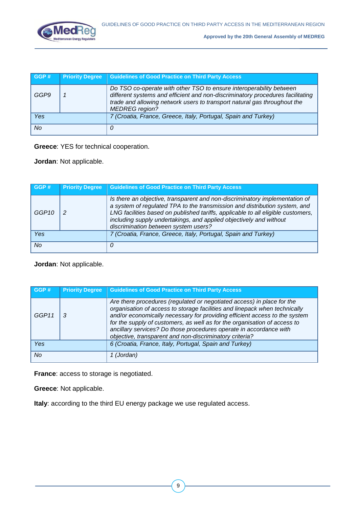

| GGP# | <b>Priority Degree</b> | <b>Guidelines of Good Practice on Third Party Access</b>                                                                                                                                                                                                   |
|------|------------------------|------------------------------------------------------------------------------------------------------------------------------------------------------------------------------------------------------------------------------------------------------------|
| GGP9 |                        | Do TSO co-operate with other TSO to ensure interoperability between<br>different systems and efficient and non-discriminatory procedures facilitating<br>trade and allowing network users to transport natural gas throughout the<br><b>MEDREG</b> region? |
| Yes  |                        | 7 (Croatia, France, Greece, Italy, Portugal, Spain and Turkey)                                                                                                                                                                                             |
| No   |                        | 0                                                                                                                                                                                                                                                          |

**Greece**: YES for technical cooperation.

**Jordan**: Not applicable.

| GGP#  | <b>Priority Degree</b> | <b>Guidelines of Good Practice on Third Party Access</b>                                                                                                                                                                                                                                                                                                    |
|-------|------------------------|-------------------------------------------------------------------------------------------------------------------------------------------------------------------------------------------------------------------------------------------------------------------------------------------------------------------------------------------------------------|
| GGP10 |                        | Is there an objective, transparent and non-discriminatory implementation of<br>a system of regulated TPA to the transmission and distribution system, and<br>LNG facilities based on published tariffs, applicable to all eligible customers,<br>including supply undertakings, and applied objectively and without<br>discrimination between system users? |
| Yes   |                        | 7 (Croatia, France, Greece, Italy, Portugal, Spain and Turkey)                                                                                                                                                                                                                                                                                              |
| No    |                        | 0                                                                                                                                                                                                                                                                                                                                                           |

**Jordan**: Not applicable.

| GGP#  | <b>Priority Degree</b> | <b>Guidelines of Good Practice on Third Party Access</b>                                                                                                                                                                                                                                                                                                                                                                                         |
|-------|------------------------|--------------------------------------------------------------------------------------------------------------------------------------------------------------------------------------------------------------------------------------------------------------------------------------------------------------------------------------------------------------------------------------------------------------------------------------------------|
| GGP11 | 3                      | Are there procedures (regulated or negotiated access) in place for the<br>organisation of access to storage facilities and linepack when technically<br>and/or economically necessary for providing efficient access to the system<br>for the supply of customers, as well as for the organisation of access to<br>ancillary services? Do those procedures operate in accordance with<br>objective, transparent and non-discriminatory criteria? |
| Yes   |                        | 6 (Croatia, France, Italy, Portugal, Spain and Turkey)                                                                                                                                                                                                                                                                                                                                                                                           |
| No    |                        | 1 (Jordan)                                                                                                                                                                                                                                                                                                                                                                                                                                       |

**France**: access to storage is negotiated.

**Greece**: Not applicable.

**Italy**: according to the third EU energy package we use regulated access.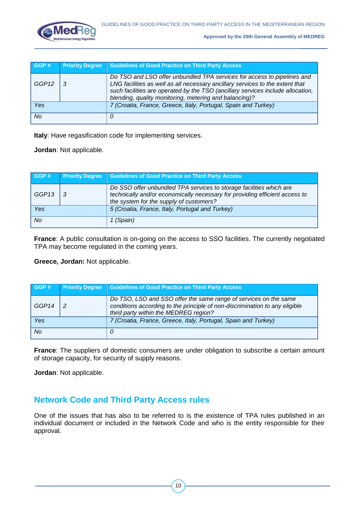

| GGP#              | <b>Priority Degree</b> | <b>Guidelines of Good Practice on Third Party Access</b>                                                                                                                                                                                                                                              |
|-------------------|------------------------|-------------------------------------------------------------------------------------------------------------------------------------------------------------------------------------------------------------------------------------------------------------------------------------------------------|
| GGP <sub>12</sub> |                        | Do TSO and LSO offer unbundled TPA services for access to pipelines and<br>LNG facilities as well as all necessary ancillary services to the extent that<br>such facilities are operated by the TSO (ancillary services include allocation,<br>blending, quality monitoring, metering and balancing)? |
| Yes               |                        | 7 (Croatia, France, Greece, Italy, Portugal, Spain and Turkey)                                                                                                                                                                                                                                        |
| No                |                        | 0                                                                                                                                                                                                                                                                                                     |

**Italy**: Have regasification code for implementing services.

**Jordan**: Not applicable.

| GGP#  | <b>Priority Degree</b> | <b>Guidelines of Good Practice on Third Party Access</b>                                                                                                                                      |
|-------|------------------------|-----------------------------------------------------------------------------------------------------------------------------------------------------------------------------------------------|
| GGP13 |                        | Do SSO offer unbundled TPA services to storage facilities which are<br>technically and/or economically necessary for providing efficient access to<br>the system for the supply of customers? |
| Yes   |                        | 5 (Croatia, France, Italy, Portugal and Turkey)                                                                                                                                               |
| No    |                        | 1 (Spain)                                                                                                                                                                                     |

**France:** A public consultation is on-going on the access to SSO facilities. The currently negotiated TPA may become regulated in the coming years.

**Greece, Jordan:** Not applicable.

| GGP#  | <b>Priority Degree</b> | <b>Guidelines of Good Practice on Third Party Access</b>                                                                                                                                 |
|-------|------------------------|------------------------------------------------------------------------------------------------------------------------------------------------------------------------------------------|
| GGP14 | -2                     | Do TSO, LSO and SSO offer the same range of services on the same<br>conditions according to the principle of non-discrimination to any eligible<br>third party within the MEDREG region? |
| Yes   |                        | 7 (Croatia, France, Greece, Italy, Portugal, Spain and Turkey)                                                                                                                           |
| No.   |                        |                                                                                                                                                                                          |

**France**: The suppliers of domestic consumers are under obligation to subscribe a certain amount of storage capacity, for security of supply reasons.

**Jordan**: Not applicable.

## **Network Code and Third Party Access rules**

One of the issues that has also to be referred to is the existence of TPA rules published in an individual document or included in the Network Code and who is the entity responsible for their approval.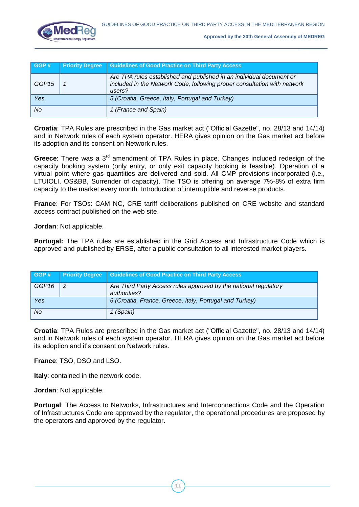

| GGP#  | <b>Priority Degree</b> | <b>Guidelines of Good Practice on Third Party Access</b>                                                                                                   |
|-------|------------------------|------------------------------------------------------------------------------------------------------------------------------------------------------------|
| GGP15 |                        | Are TPA rules established and published in an individual document or<br>included in the Network Code, following proper consultation with network<br>users? |
| Yes   |                        | 5 (Croatia, Greece, Italy, Portugal and Turkey)                                                                                                            |
| No.   |                        | 1 (France and Spain)                                                                                                                                       |

**Croatia**: TPA Rules are prescribed in the Gas market act ("Official Gazette", no. 28/13 and 14/14) and in Network rules of each system operator. HERA gives opinion on the Gas market act before its adoption and its consent on Network rules.

**Greece**: There was a 3<sup>rd</sup> amendment of TPA Rules in place. Changes included redesign of the capacity booking system (only entry, or only exit capacity booking is feasible). Operation of a virtual point where gas quantities are delivered and sold. All CMP provisions incorporated (i.e., LTUIOLI, OS&BB, Surrender of capacity). The TSO is offering on average 7%-8% of extra firm capacity to the market every month. Introduction of interruptible and reverse products.

**France**: For TSOs: CAM NC, CRE tariff deliberations published on CRE website and standard access contract published on the web site.

**Jordan**: Not applicable.

**Portugal:** The TPA rules are established in the Grid Access and Infrastructure Code which is approved and published by ERSE, after a public consultation to all interested market players.

| GGP#              | <b>Priority Degree</b> | <b>Guidelines of Good Practice on Third Party Access</b>                         |
|-------------------|------------------------|----------------------------------------------------------------------------------|
| GGP <sub>16</sub> | $\overline{2}$         | Are Third Party Access rules approved by the national regulatory<br>authorities? |
| Yes               |                        | 6 (Croatia, France, Greece, Italy, Portugal and Turkey)                          |
| No                |                        | 1 (Spain)                                                                        |

**Croatia**: TPA Rules are prescribed in the Gas market act ("Official Gazette", no. 28/13 and 14/14) and in Network rules of each system operator. HERA gives opinion on the Gas market act before its adoption and it's consent on Network rules.

**France**: TSO, DSO and LSO.

**Italy**: contained in the network code.

**Jordan**: Not applicable.

**Portugal**: The Access to Networks, Infrastructures and Interconnections Code and the Operation of Infrastructures Code are approved by the regulator, the operational procedures are proposed by the operators and approved by the regulator.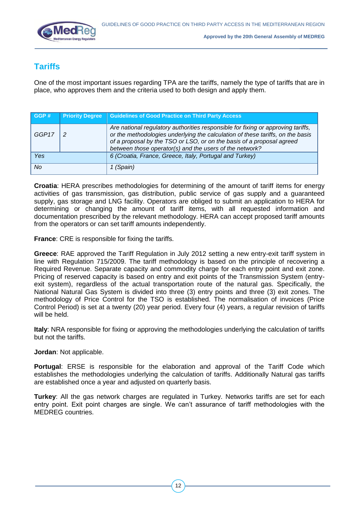

## **Tariffs**

One of the most important issues regarding TPA are the tariffs, namely the type of tariffs that are in place, who approves them and the criteria used to both design and apply them.

| GGP#  | <b>Priority Degree</b> | <b>Guidelines of Good Practice on Third Party Access</b>                                                                                                                                                                                                                                               |
|-------|------------------------|--------------------------------------------------------------------------------------------------------------------------------------------------------------------------------------------------------------------------------------------------------------------------------------------------------|
| GGP17 | $\overline{2}$         | Are national regulatory authorities responsible for fixing or approving tariffs,<br>or the methodologies underlying the calculation of these tariffs, on the basis<br>of a proposal by the TSO or LSO, or on the basis of a proposal agreed<br>between those operator(s) and the users of the network? |
| Yes   |                        | 6 (Croatia, France, Greece, Italy, Portugal and Turkey)                                                                                                                                                                                                                                                |
| No    |                        | 1 (Spain)                                                                                                                                                                                                                                                                                              |

**Croatia**: HERA prescribes methodologies for determining of the amount of tariff items for energy activities of gas transmission, gas distribution, public service of gas supply and a guaranteed supply, gas storage and LNG facility. Operators are obliged to submit an application to HERA for determining or changing the amount of tariff items, with all requested information and documentation prescribed by the relevant methodology. HERA can accept proposed tariff amounts from the operators or can set tariff amounts independently.

**France**: CRE is responsible for fixing the tariffs.

**Greece**: RAE approved the Tariff Regulation in July 2012 setting a new entry-exit tariff system in line with Regulation 715/2009. The tariff methodology is based on the principle of recovering a Required Revenue. Separate capacity and commodity charge for each entry point and exit zone. Pricing of reserved capacity is based on entry and exit points of the Transmission System (entryexit system), regardless of the actual transportation route of the natural gas. Specifically, the National Natural Gas System is divided into three (3) entry points and three (3) exit zones. The methodology of Price Control for the TSO is established. The normalisation of invoices (Price Control Period) is set at a twenty (20) year period. Every four (4) years, a regular revision of tariffs will be held.

**Italy**: NRA responsible for fixing or approving the methodologies underlying the calculation of tariffs but not the tariffs.

#### **Jordan**: Not applicable.

**Portugal**: ERSE is responsible for the elaboration and approval of the Tariff Code which establishes the methodologies underlying the calculation of tariffs. Additionally Natural gas tariffs are established once a year and adjusted on quarterly basis.

**Turkey**: All the gas network charges are regulated in Turkey. Networks tariffs are set for each entry point. Exit point charges are single. We can't assurance of tariff methodologies with the MEDREG countries.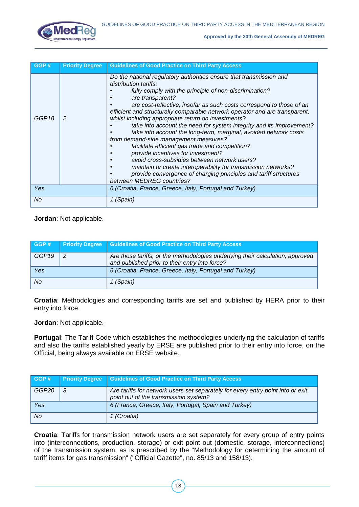

| GGP#              | <b>Priority Degree</b> | <b>Guidelines of Good Practice on Third Party Access</b>                                                                                                                                                                                                                                                                                                                                                                                                                                                                                                                                                                                                                                                                                                                                                                                                                                  |
|-------------------|------------------------|-------------------------------------------------------------------------------------------------------------------------------------------------------------------------------------------------------------------------------------------------------------------------------------------------------------------------------------------------------------------------------------------------------------------------------------------------------------------------------------------------------------------------------------------------------------------------------------------------------------------------------------------------------------------------------------------------------------------------------------------------------------------------------------------------------------------------------------------------------------------------------------------|
| GGP <sub>18</sub> | $\overline{2}$         | Do the national regulatory authorities ensure that transmission and<br>distribution tariffs:<br>fully comply with the principle of non-discrimination?<br>are transparent?<br>are cost-reflective, insofar as such costs correspond to those of an<br>efficient and structurally comparable network operator and are transparent,<br>whilst including appropriate return on investments?<br>take into account the need for system integrity and its improvement?<br>take into account the long-term, marginal, avoided network costs<br>from demand-side management measures?<br>facilitate efficient gas trade and competition?<br>provide incentives for investment?<br>avoid cross-subsidies between network users?<br>maintain or create interoperability for transmission networks?<br>provide convergence of charging principles and tariff structures<br>between MEDREG countries? |
| Yes               |                        | 6 (Croatia, France, Greece, Italy, Portugal and Turkey)                                                                                                                                                                                                                                                                                                                                                                                                                                                                                                                                                                                                                                                                                                                                                                                                                                   |
| No                |                        | 1 (Spain)                                                                                                                                                                                                                                                                                                                                                                                                                                                                                                                                                                                                                                                                                                                                                                                                                                                                                 |

**Jordan**: Not applicable.

| GGP#  | <b>Priority Degree</b> | <b>Guidelines of Good Practice on Third Party Access</b>                                                                         |
|-------|------------------------|----------------------------------------------------------------------------------------------------------------------------------|
| GGP19 | -2                     | Are those tariffs, or the methodologies underlying their calculation, approved<br>and published prior to their entry into force? |
| Yes   |                        | 6 (Croatia, France, Greece, Italy, Portugal and Turkey)                                                                          |
| No    |                        | (Spain)                                                                                                                          |

**Croatia**: Methodologies and corresponding tariffs are set and published by HERA prior to their entry into force.

**Jordan**: Not applicable.

**Portugal**: The Tariff Code which establishes the methodologies underlying the calculation of tariffs and also the tariffs established yearly by ERSE are published prior to their entry into force, on the Official, being always available on ERSE website.

| GGP#  | <b>Priority Degree</b> | <b>Guidelines of Good Practice on Third Party Access</b>                                                                 |
|-------|------------------------|--------------------------------------------------------------------------------------------------------------------------|
| GGP20 | - 3                    | Are tariffs for network users set separately for every entry point into or exit<br>point out of the transmission system? |
| Yes   |                        | 6 (France, Greece, Italy, Portugal, Spain and Turkey)                                                                    |
| No.   |                        | 1 (Croatia)                                                                                                              |

**Croatia**: Tariffs for transmission network users are set separately for every group of entry points into (interconnections, production, storage) or exit point out (domestic, storage, interconnections) of the transmission system, as is prescribed by the "Methodology for determining the amount of tariff items for gas transmission" ("Official Gazette", no. 85/13 and 158/13).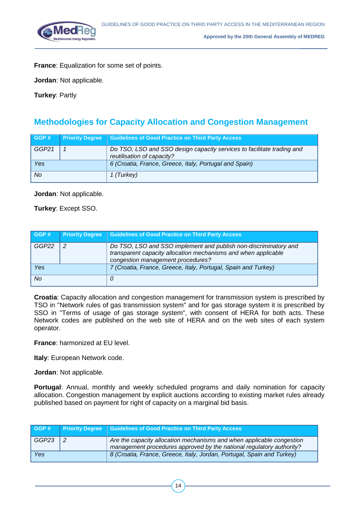

**France**: Equalization for some set of points.

**Jordan**: Not applicable.

**Turkey**: Partly

## **Methodologies for Capacity Allocation and Congestion Management**

| GGP#  | <b>Priority Degree</b> | Guidelines of Good Practice on Third Party Access                                                    |
|-------|------------------------|------------------------------------------------------------------------------------------------------|
| GGP21 |                        | Do TSO, LSO and SSO design capacity services to facilitate trading and<br>reutilisation of capacity? |
| Yes   |                        | 6 (Croatia, France, Greece, Italy, Portugal and Spain)                                               |
| No    |                        | 1 (Turkey)                                                                                           |

**Jordan**: Not applicable.

**Turkey**: Except SSO.

| GGP#      | <b>Priority Degree</b> | <b>Guidelines of Good Practice on Third Party Access</b>                                                                                                                |
|-----------|------------------------|-------------------------------------------------------------------------------------------------------------------------------------------------------------------------|
| GGP22     | $\overline{2}$         | Do TSO, LSO and SSO implement and publish non-discriminatory and<br>transparent capacity allocation mechanisms and when applicable<br>congestion management procedures? |
| Yes       |                        | 7 (Croatia, France, Greece, Italy, Portugal, Spain and Turkey)                                                                                                          |
| <b>No</b> |                        | 0                                                                                                                                                                       |

**Croatia**: Capacity allocation and congestion management for transmission system is prescribed by TSO in "Network rules of gas transmission system" and for gas storage system it is prescribed by SSO in "Terms of usage of gas storage system", with consent of HERA for both acts. These Network codes are published on the web site of HERA and on the web sites of each system operator.

**France**: harmonized at EU level.

**Italy**: European Network code.

**Jordan**: Not applicable.

**Portugal**: Annual, monthly and weekly scheduled programs and daily nomination for capacity allocation. Congestion management by explicit auctions according to existing market rules already published based on payment for right of capacity on a marginal bid basis.

| GGP#  |  | <b>Priority Degree</b> Guidelines of Good Practice on Third Party Access                                                                      |
|-------|--|-----------------------------------------------------------------------------------------------------------------------------------------------|
| GGP23 |  | Are the capacity allocation mechanisms and when applicable congestion<br>management procedures approved by the national regulatory authority? |
| Yes   |  | 8 (Croatia, France, Greece, Italy, Jordan, Portugal, Spain and Turkey)                                                                        |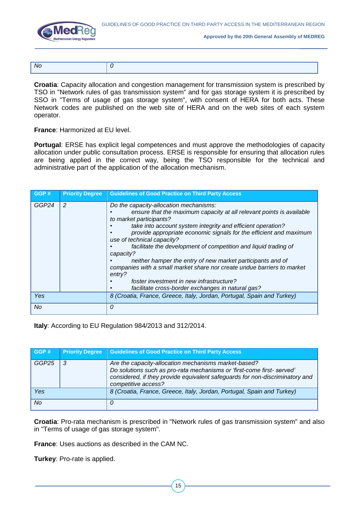



| Nα |  |
|----|--|

**Croatia**: Capacity allocation and congestion management for transmission system is prescribed by TSO in "Network rules of gas transmission system" and for gas storage system it is prescribed by SSO in "Terms of usage of gas storage system", with consent of HERA for both acts. These Network codes are published on the web site of HERA and on the web sites of each system operator.

**France**: Harmonized at EU level.

**Portugal**: ERSE has explicit legal competences and must approve the methodologies of capacity allocation under public consultation process. ERSE is responsible for ensuring that allocation rules are being applied in the correct way, being the TSO responsible for the technical and administrative part of the application of the allocation mechanism.

| GGP#  | <b>Priority Degree</b> | <b>Guidelines of Good Practice on Third Party Access</b>                                                                                                                                                                                                                                                                                                                                                                                                                                                                                                                                                                                         |
|-------|------------------------|--------------------------------------------------------------------------------------------------------------------------------------------------------------------------------------------------------------------------------------------------------------------------------------------------------------------------------------------------------------------------------------------------------------------------------------------------------------------------------------------------------------------------------------------------------------------------------------------------------------------------------------------------|
| GGP24 | 2                      | Do the capacity-allocation mechanisms:<br>ensure that the maximum capacity at all relevant points is available<br>to market participants?<br>take into account system integrity and efficient operation?<br>provide appropriate economic signals for the efficient and maximum<br>use of technical capacity?<br>facilitate the development of competition and liquid trading of<br>capacity?<br>neither hamper the entry of new market participants and of<br>companies with a small market share nor create undue barriers to market<br>entry?<br>foster investment in new infrastructure?<br>facilitate cross-border exchanges in natural gas? |
| Yes   |                        | 8 (Croatia, France, Greece, Italy, Jordan, Portugal, Spain and Turkey)                                                                                                                                                                                                                                                                                                                                                                                                                                                                                                                                                                           |
| No    |                        | 0                                                                                                                                                                                                                                                                                                                                                                                                                                                                                                                                                                                                                                                |

**Italy**: According to EU Regulation 984/2013 and 312/2014.

| GGP#  | <b>Priority Degree</b> | <b>Guidelines of Good Practice on Third Party Access</b>                                                                                                                                                                             |
|-------|------------------------|--------------------------------------------------------------------------------------------------------------------------------------------------------------------------------------------------------------------------------------|
| GGP25 | -3                     | Are the capacity-allocation mechanisms market-based?<br>Do solutions such as pro-rata mechanisms or 'first-come first-served'<br>considered, if they provide equivalent safeguards for non-discriminatory and<br>competitive access? |
| Yes   |                        | 8 (Croatia, France, Greece, Italy, Jordan, Portugal, Spain and Turkey)                                                                                                                                                               |
| No    |                        | 0                                                                                                                                                                                                                                    |

**Croatia**: Pro-rata mechanism is prescribed in "Network rules of gas transmission system" and also in "Terms of usage of gas storage system".

**France**: Uses auctions as described in the CAM NC.

**Turkey**: Pro-rate is applied.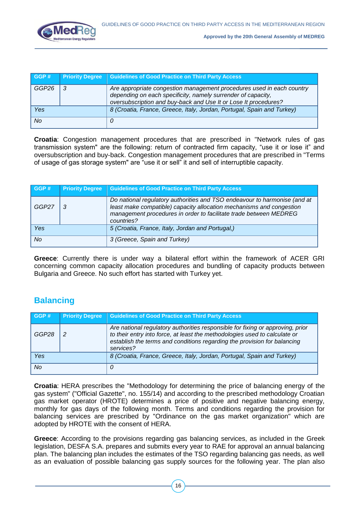

| GGP#  | <b>Priority Degree</b> | <b>Guidelines of Good Practice on Third Party Access</b>                                                                                                                                                 |
|-------|------------------------|----------------------------------------------------------------------------------------------------------------------------------------------------------------------------------------------------------|
| GGP26 |                        | Are appropriate congestion management procedures used in each country<br>depending on each specificity, namely surrender of capacity,<br>oversubscription and buy-back and Use It or Lose It procedures? |
| Yes   |                        | 8 (Croatia, France, Greece, Italy, Jordan, Portugal, Spain and Turkey)                                                                                                                                   |
| No    |                        |                                                                                                                                                                                                          |

**Croatia**: Congestion management procedures that are prescribed in "Network rules of gas transmission system" are the following: return of contracted firm capacity, "use it or lose it" and oversubscription and buy-back. Congestion management procedures that are prescribed in "Terms of usage of gas storage system" are "use it or sell" it and sell of interruptible capacity.

| GGP#  | <b>Priority Degree</b> | <b>Guidelines of Good Practice on Third Party Access</b>                                                                                                                                                                             |
|-------|------------------------|--------------------------------------------------------------------------------------------------------------------------------------------------------------------------------------------------------------------------------------|
| GGP27 | -3                     | Do national regulatory authorities and TSO endeavour to harmonise (and at<br>least make compatible) capacity allocation mechanisms and congestion<br>management procedures in order to facilitate trade between MEDREG<br>countries? |
| Yes   |                        | 5 (Croatia, France, Italy, Jordan and Portugal,)                                                                                                                                                                                     |
| No.   |                        | 3 (Greece, Spain and Turkey)                                                                                                                                                                                                         |

**Greece**: Currently there is under way a bilateral effort within the framework of ACER GRI concerning common capacity allocation procedures and bundling of capacity products between Bulgaria and Greece. No such effort has started with Turkey yet.

# **Balancing**

| GGP#      | <b>Priority Degree</b> | <b>Guidelines of Good Practice on Third Party Access</b>                                                                                                                                                                                              |
|-----------|------------------------|-------------------------------------------------------------------------------------------------------------------------------------------------------------------------------------------------------------------------------------------------------|
| GGP28     | 2                      | Are national regulatory authorities responsible for fixing or approving, prior<br>to their entry into force, at least the methodologies used to calculate or<br>establish the terms and conditions regarding the provision for balancing<br>services? |
| Yes       |                        | 8 (Croatia, France, Greece, Italy, Jordan, Portugal, Spain and Turkey)                                                                                                                                                                                |
| <b>No</b> |                        | 0                                                                                                                                                                                                                                                     |

**Croatia**: HERA prescribes the "Methodology for determining the price of balancing energy of the gas system" ("Official Gazette", no. 155/14) and according to the prescribed methodology Croatian gas market operator (HROTE) determines a price of positive and negative balancing energy, monthly for gas days of the following month. Terms and conditions regarding the provision for balancing services are prescribed by "Ordinance on the gas market organization" which are adopted by HROTE with the consent of HERA.

**Greece**: According to the provisions regarding gas balancing services, as included in the Greek legislation, DESFA S.A. prepares and submits every year to RAE for approval an annual balancing plan. The balancing plan includes the estimates of the TSO regarding balancing gas needs, as well as an evaluation of possible balancing gas supply sources for the following year. The plan also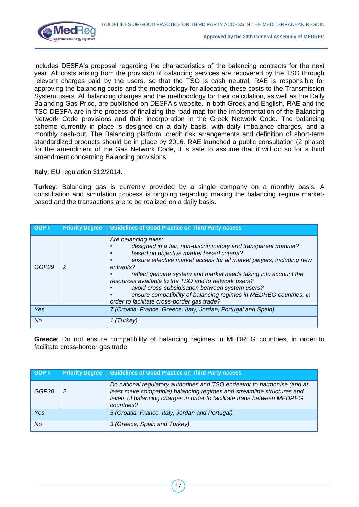

includes DESFA's proposal regarding the characteristics of the balancing contracts for the next year. All costs arising from the provision of balancing services are recovered by the TSO through relevant charges paid by the users, so that the TSO is cash neutral. RAE is responsible for approving the balancing costs and the methodology for allocating these costs to the Transmission System users. All balancing charges and the methodology for their calculation, as well as the Daily Balancing Gas Price, are published on DESFA's website, in both Greek and English. RAE and the TSO DESFA are in the process of finalizing the road map for the implementation of the Balancing Network Code provisions and their incorporation in the Greek Network Code. The balancing scheme currently in place is designed on a daily basis, with daily imbalance charges, and a monthly cash-out. The Balancing platform, credit risk arrangements and definition of short-term standardized products should be in place by 2016. RAE launched a public consultation (2 phase) for the amendment of the Gas Network Code, it is safe to assume that it will do so for a third amendment concerning Balancing provisions.

**Italy**: EU regulation 312/2014.

**Turkey**: Balancing gas is currently provided by a single company on a monthly basis. A consultation and simulation process is ongoing regarding making the balancing regime marketbased and the transactions are to be realized on a daily basis.

| GGP#  | <b>Priority Degree</b> | <b>Guidelines of Good Practice on Third Party Access</b>                                                                                                                                                                                                                                                                                                                                                                                                                                                                   |
|-------|------------------------|----------------------------------------------------------------------------------------------------------------------------------------------------------------------------------------------------------------------------------------------------------------------------------------------------------------------------------------------------------------------------------------------------------------------------------------------------------------------------------------------------------------------------|
| GGP29 |                        | Are balancing rules:<br>designed in a fair, non-discriminatory and transparent manner?<br>based on objective market based criteria?<br>ensure effective market access for all market players, including new<br>entrants?<br>reflect genuine system and market needs taking into account the<br>resources available to the TSO and to network users?<br>avoid cross-subsidisation between system users?<br>ensure compatibility of balancing regimes in MEDREG countries, in<br>order to facilitate cross-border gas trade? |
| Yes   |                        | 7 (Croatia, France, Greece, Italy, Jordan, Portugal and Spain)                                                                                                                                                                                                                                                                                                                                                                                                                                                             |
| No    |                        | Turkev                                                                                                                                                                                                                                                                                                                                                                                                                                                                                                                     |

**Greece**: Do not ensure compatibility of balancing regimes in MEDREG countries, in order to facilitate cross-border gas trade

| GGP#  | <b>Priority Degree</b> | <b>Guidelines of Good Practice on Third Party Access</b>                                                                                                                                                                                    |
|-------|------------------------|---------------------------------------------------------------------------------------------------------------------------------------------------------------------------------------------------------------------------------------------|
| GGP30 |                        | Do national regulatory authorities and TSO endeavor to harmonise (and at<br>least make compatible) balancing regimes and streamline structures and<br>levels of balancing charges in order to facilitate trade between MEDREG<br>countries? |
| Yes   |                        | 5 (Croatia, France, Italy, Jordan and Portugal)                                                                                                                                                                                             |
| No    |                        | 3 (Greece, Spain and Turkey)                                                                                                                                                                                                                |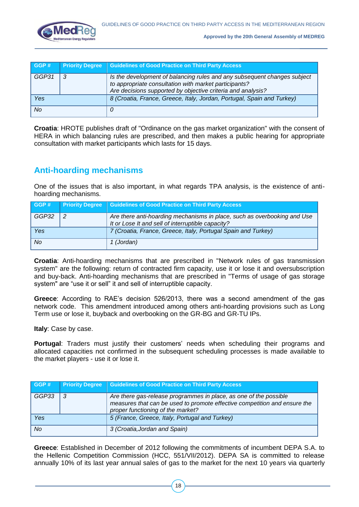

| GGP#  | <b>Priority Degree</b> | <b>Guidelines of Good Practice on Third Party Access</b>                                                                                                                                         |
|-------|------------------------|--------------------------------------------------------------------------------------------------------------------------------------------------------------------------------------------------|
| GGP31 | 3                      | Is the development of balancing rules and any subsequent changes subject<br>to appropriate consultation with market participants?<br>Are decisions supported by objective criteria and analysis? |
| Yes   |                        | 8 (Croatia, France, Greece, Italy, Jordan, Portugal, Spain and Turkey)                                                                                                                           |
| No    |                        |                                                                                                                                                                                                  |

**Croatia**: HROTE publishes draft of "Ordinance on the gas market organization" with the consent of HERA in which balancing rules are prescribed, and then makes a public hearing for appropriate consultation with market participants which lasts for 15 days.

## **Anti-hoarding mechanisms**

One of the issues that is also important, in what regards TPA analysis, is the existence of antihoarding mechanisms.

| GGP#  | <b>Priority Degree</b> | <b>Guidelines of Good Practice on Third Party Access</b>                                                                      |
|-------|------------------------|-------------------------------------------------------------------------------------------------------------------------------|
| GGP32 | -2                     | Are there anti-hoarding mechanisms in place, such as overbooking and Use<br>It or Lose It and sell of interruptible capacity? |
| Yes   |                        | 7 (Croatia, France, Greece, Italy, Portugal Spain and Turkey)                                                                 |
| No.   |                        | 1 (Jordan)                                                                                                                    |

**Croatia**: Anti-hoarding mechanisms that are prescribed in "Network rules of gas transmission system" are the following: return of contracted firm capacity, use it or lose it and oversubscription and buy-back. Anti-hoarding mechanisms that are prescribed in "Terms of usage of gas storage system" are "use it or sell" it and sell of interruptible capacity.

**Greece**: According to RAE's decision 526/2013, there was a second amendment of the gas network code. This amendment introduced among others anti-hoarding provisions such as Long Term use or lose it, buyback and overbooking on the GR-BG and GR-TU IPs.

**Italy**: Case by case.

**Portugal**: Traders must justify their customers' needs when scheduling their programs and allocated capacities not confirmed in the subsequent scheduling processes is made available to the market players - use it or lose it.

| GGP#  | <b>Priority Degree</b> | <b>Guidelines of Good Practice on Third Party Access</b>                                                                                                                            |
|-------|------------------------|-------------------------------------------------------------------------------------------------------------------------------------------------------------------------------------|
| GGP33 | - 3                    | Are there gas-release programmes in place, as one of the possible<br>measures that can be used to promote effective competition and ensure the<br>proper functioning of the market? |
| Yes   |                        | 5 (France, Greece, Italy, Portugal and Turkey)                                                                                                                                      |
| No    |                        | 3 (Croatia, Jordan and Spain)                                                                                                                                                       |

**Greece**: Established in December of 2012 following the commitments of incumbent DEPA S.A. to the Hellenic Competition Commission (HCC, 551/VII/2012). DEPA SA is committed to release annually 10% of its last year annual sales of gas to the market for the next 10 years via quarterly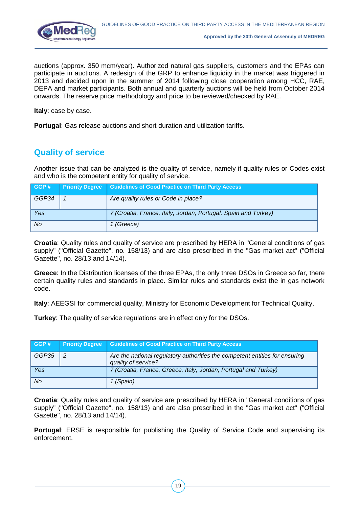

auctions (approx. 350 mcm/year). Authorized natural gas suppliers, customers and the EPAs can participate in auctions. A redesign of the GRP to enhance liquidity in the market was triggered in 2013 and decided upon in the summer of 2014 following close cooperation among HCC, RAE, DEPA and market participants. Both annual and quarterly auctions will be held from October 2014 onwards. The reserve price methodology and price to be reviewed/checked by RAE.

**Italy**: case by case.

**Portugal**: Gas release auctions and short duration and utilization tariffs.

## **Quality of service**

Another issue that can be analyzed is the quality of service, namely if quality rules or Codes exist and who is the competent entity for quality of service.

| GGP#      | <b>Priority Degree</b> | <b>Guidelines of Good Practice on Third Party Access</b>       |
|-----------|------------------------|----------------------------------------------------------------|
| GGP34     |                        | Are quality rules or Code in place?                            |
| Yes       |                        | 7 (Croatia, France, Italy, Jordan, Portugal, Spain and Turkey) |
| <b>No</b> |                        | 1 (Greece)                                                     |

**Croatia**: Quality rules and quality of service are prescribed by HERA in "General conditions of gas supply" ("Official Gazette", no. 158/13) and are also prescribed in the "Gas market act" ("Official Gazette", no. 28/13 and 14/14).

**Greece**: In the Distribution licenses of the three EPAs, the only three DSOs in Greece so far, there certain quality rules and standards in place. Similar rules and standards exist the in gas network code.

**Italy**: AEEGSI for commercial quality, Ministry for Economic Development for Technical Quality.

**Turkey**: The quality of service regulations are in effect only for the DSOs.

| GGP#      | <b>Priority Degree</b> | <b>Guidelines of Good Practice on Third Party Access</b>                                           |
|-----------|------------------------|----------------------------------------------------------------------------------------------------|
| GGP35     | 2                      | Are the national regulatory authorities the competent entities for ensuring<br>quality of service? |
| Yes       |                        | 7 (Croatia, France, Greece, Italy, Jordan, Portugal and Turkey)                                    |
| <b>No</b> |                        | 1 (Spain)                                                                                          |

**Croatia**: Quality rules and quality of service are prescribed by HERA in "General conditions of gas supply" ("Official Gazette", no. 158/13) and are also prescribed in the "Gas market act" ("Official Gazette", no. 28/13 and 14/14).

**Portugal**: ERSE is responsible for publishing the Quality of Service Code and supervising its enforcement.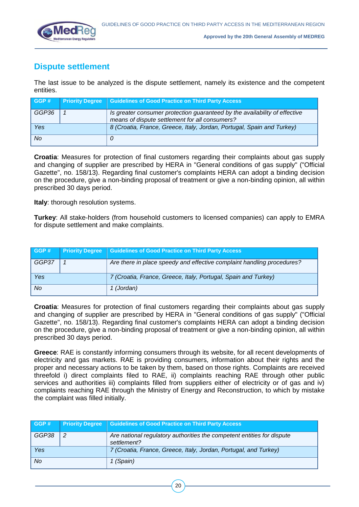

## **Dispute settlement**

The last issue to be analyzed is the dispute settlement, namely its existence and the competent entities.

| GGP#  | <b>Priority Degree</b> | <b>Guidelines of Good Practice on Third Party Access</b>                                                                     |
|-------|------------------------|------------------------------------------------------------------------------------------------------------------------------|
| GGP36 |                        | Is greater consumer protection guaranteed by the availability of effective<br>means of dispute settlement for all consumers? |
| Yes   |                        | 8 (Croatia, France, Greece, Italy, Jordan, Portugal, Spain and Turkey)                                                       |
| No    |                        |                                                                                                                              |

**Croatia**: Measures for protection of final customers regarding their complaints about gas supply and changing of supplier are prescribed by HERA in "General conditions of gas supply" ("Official Gazette", no. 158/13). Regarding final customer's complaints HERA can adopt a binding decision on the procedure, give a non-binding proposal of treatment or give a non-binding opinion, all within prescribed 30 days period.

**Italy**: thorough resolution systems.

**Turkey**: All stake-holders (from household customers to licensed companies) can apply to EMRA for dispute settlement and make complaints.

| GGP#  | <b>Priority Degree</b> | <b>Guidelines of Good Practice on Third Party Access</b>               |
|-------|------------------------|------------------------------------------------------------------------|
| GGP37 |                        | Are there in place speedy and effective complaint handling procedures? |
| Yes   |                        | 7 (Croatia, France, Greece, Italy, Portugal, Spain and Turkey)         |
| No    |                        | 1 (Jordan)                                                             |

**Croatia**: Measures for protection of final customers regarding their complaints about gas supply and changing of supplier are prescribed by HERA in "General conditions of gas supply" ("Official Gazette", no. 158/13). Regarding final customer's complaints HERA can adopt a binding decision on the procedure, give a non-binding proposal of treatment or give a non-binding opinion, all within prescribed 30 days period.

**Greece**: RAE is constantly informing consumers through its website, for all recent developments of electricity and gas markets. RAE is providing consumers, information about their rights and the proper and necessary actions to be taken by them, based on those rights. Complaints are received threefold i) direct complaints filed to RAE, ii) complaints reaching RAE through other public services and authorities iii) complaints filled from suppliers either of electricity or of gas and iv) complaints reaching RAE through the Ministry of Energy and Reconstruction, to which by mistake the complaint was filled initially.

| GGP#  | <b>Priority Degree</b> | <b>Guidelines of Good Practice on Third Party Access</b>                              |
|-------|------------------------|---------------------------------------------------------------------------------------|
| GGP38 | $\overline{2}$         | Are national regulatory authorities the competent entities for dispute<br>settlement? |
| Yes   |                        | 7 (Croatia, France, Greece, Italy, Jordan, Portugal, and Turkey)                      |
| No.   |                        | 1 (Spain)                                                                             |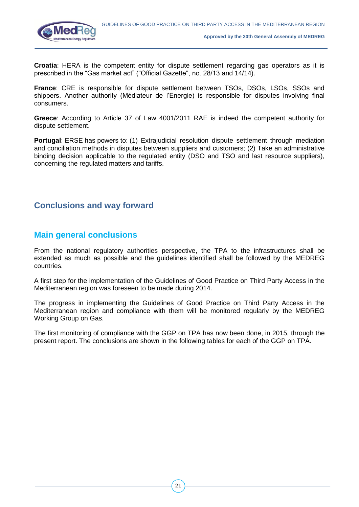

**Croatia**: HERA is the competent entity for dispute settlement regarding gas operators as it is prescribed in the "Gas market act" ("Official Gazette", no. 28/13 and 14/14).

**France**: CRE is responsible for dispute settlement between TSOs, DSOs, LSOs, SSOs and shippers. Another authority (Médiateur de l'Energie) is responsible for disputes involving final consumers.

**Greece**: According to Article 37 of Law 4001/2011 RAE is indeed the competent authority for dispute settlement.

**Portugal**: ERSE has powers to: (1) Extrajudicial resolution dispute settlement through mediation and conciliation methods in disputes between suppliers and customers; (2) Take an administrative binding decision applicable to the regulated entity (DSO and TSO and last resource suppliers), concerning the regulated matters and tariffs.

### **Conclusions and way forward**

### **Main general conclusions**

From the national regulatory authorities perspective, the TPA to the infrastructures shall be extended as much as possible and the guidelines identified shall be followed by the MEDREG countries.

A first step for the implementation of the Guidelines of Good Practice on Third Party Access in the Mediterranean region was foreseen to be made during 2014.

The progress in implementing the Guidelines of Good Practice on Third Party Access in the Mediterranean region and compliance with them will be monitored regularly by the MEDREG Working Group on Gas.

The first monitoring of compliance with the GGP on TPA has now been done, in 2015, through the present report. The conclusions are shown in the following tables for each of the GGP on TPA.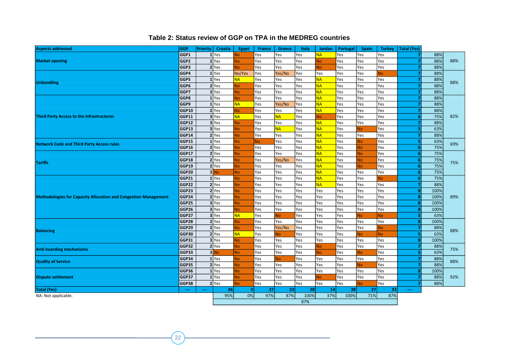#### **Table 2: Status review of GGP on TPA in the MEDREG countries**

| <b>Aspects addressed</b>                                               | <b>GGP</b>   | <b>Priority</b> | <b>Croatia</b> | <b>Egypt</b>   | France      | <b>Greece</b> | Italy | <b>Jordan</b> | Portugal | <b>Spain</b> | <b>Turkey</b> | <b>Total (Yes)</b> |      |     |
|------------------------------------------------------------------------|--------------|-----------------|----------------|----------------|-------------|---------------|-------|---------------|----------|--------------|---------------|--------------------|------|-----|
|                                                                        | GGP1         |                 | 1 Yes          | N <sub>o</sub> | Yes         | Yes           | Yes   | <b>NA</b>     | Yes      | Yes          | Yes           |                    | 88%  |     |
| <b>Market opening</b>                                                  |              |                 | 2 Yes          | N <sub>o</sub> | Yes         | Yes           | Yes   | <b>No</b>     | Yes      | Yes          | Yes           |                    | 88%  | 88% |
|                                                                        | GGP3         |                 | 2 Yes          | N <sub>o</sub> | Yes         | Yes           | Yes   | <b>No</b>     | Yes      | Yes          | Yes           |                    | 88%  |     |
|                                                                        | GGP4         | $\mathbf{1}$    | <b>Yes</b>     | No/Yes         | Yes         | Yes/No        | Yes   | Yes           | Yes      | Yes          | ٧o            |                    | 88%  | 88% |
| <b>Unbundling</b>                                                      | GGP5         |                 | 1 Yes          | <b>NA</b>      | Yes         | Yes           | Yes   | <b>NA</b>     | Yes      | Yes          | Yes           |                    | 88%  |     |
|                                                                        | GGP6         |                 | 2 Yes          | <b>No</b>      | Yes         | Yes           | Yes   | <b>NA</b>     | Yes      | Yes          | Yes           |                    | 88%  |     |
|                                                                        | GGP7         |                 | 3 Yes          | <b>No</b>      | Yes         | Yes           | Yes   | <b>NA</b>     | Yes      | Yes          | Yes           |                    | 88%  |     |
|                                                                        | GGP8         |                 | 1 Yes          | <b>No</b>      | Yes         | Yes           | Yes   | <b>NA</b>     | Yes      | Yes          | Yes           |                    | 88%  |     |
|                                                                        | GGP9         |                 | $1$ Yes        | <b>NA</b>      | Yes         | Yes/No        | Yes   | <b>NA</b>     | Yes      | Yes          | Yes           |                    | 88%  |     |
|                                                                        | GGP10        |                 | 2 Yes          | N <sub>o</sub> | Yes         | Yes           | Yes   | <b>NA</b>     | Yes      | Yes          | Yes           |                    | 88%  |     |
| <b>Third Party Access to the infrastructures</b>                       | GGP11        |                 | 3 Yes          | <b>NA</b>      | Yes         | <b>NA</b>     | Yes   | No            | Yes      | Yes          | Yes           |                    | 75%  | 82% |
|                                                                        | GGP12        |                 | 3 Yes          | <b>No</b>      | Yes         | Yes           | Yes   | <b>NA</b>     | Yes      | Yes          | Yes           |                    | 88%  |     |
|                                                                        | GGP13        |                 | 3 Yes          | <b>No</b>      | Yes         | <b>NA</b>     | Yes   | <b>NA</b>     | Yes      | ٧o           | Yes           |                    | 63%  |     |
|                                                                        | GGP14        |                 | 2 Yes          | N <sub>o</sub> | Yes         | Yes           | Yes   | <b>NA</b>     | Yes      | Yes          | Yes           | 7                  | 88%  |     |
| <b>Network Code and Third Party Access rules</b>                       | GGP15        |                 | 1 Yes          | No.            | No          | Yes           | Yes   | <b>NA</b>     | Yes      | ٧o           | Yes           |                    | 63%  | 69% |
|                                                                        | GGP16        |                 | 2 Yes          | <b>No</b>      | Yes         | Yes           | Yes   | <b>NA</b>     | Yes      | ٧o           | Yes           |                    | 75%  |     |
|                                                                        | <b>GGP17</b> |                 | 2 Yes          | <b>No</b>      | Yes         | Yes           | Yes   | <b>NA</b>     | Yes      | ٧o           | Yes           |                    | 75%  | 75% |
| <b>Tariffs</b>                                                         | GGP18        |                 | 2 Yes          | <b>No</b>      | Yes         | Yes/No        | Yes   | <b>NA</b>     | Yes      | N٥           | Yes           |                    | 75%  |     |
|                                                                        | GGP19        |                 | 2 Yes          | <b>No</b>      | Yes         | Yes           | Yes   | <b>NA</b>     | Yes      | ٧o           | Yes           | -6                 | 75%  |     |
|                                                                        | GGP20        |                 | 3 No           | <b>No</b>      | Yes         | Yes           | Yes   | <b>NA</b>     | Yes      | Yes          | Yes           | Е                  | 75%  |     |
|                                                                        | GGP21        |                 | 1 Yes          | <b>No</b>      | Yes         | Yes           | Yes   | <b>NA</b>     | Yes      | Yes          | N٥            | £                  | 75%  |     |
|                                                                        | GGP22        |                 | 2 Yes          | <b>No</b>      | Yes         | Yes           | Yes   | <b>NA</b>     | Yes      | Yes          | Yes           |                    | 88%  | 89% |
|                                                                        | GGP23        |                 | 2 Yes          | <b>No</b>      | Yes         | Yes           | Yes   | Yes           | Yes      | Yes          | Yes           | я                  | 100% |     |
| <b>Methodologies for Capacity Allocation and Congestion Management</b> | GGP24        |                 | 2 Yes          | N <sub>o</sub> | Yes         | Yes           | Yes   | Yes           | Yes      | Yes          | Yes           |                    | 100% |     |
|                                                                        | GGP25        |                 | 3 Yes          | <b>No</b>      | Yes         | Yes           | Yes   | Yes           | Yes      | Yes          | Yes           |                    | 100% |     |
|                                                                        | GGP26        |                 | 3 Yes          | <b>No</b>      | Yes         | Yes           | Yes   | Yes           | Yes      | Yes          | Yes           | я                  | 100% |     |
|                                                                        | GGP27        |                 | 3 Yes          | <b>NA</b>      | Yes         | <b>No</b>     | Yes   | Yes           | Yes      | N٥           | <b>No</b>     | Б                  | 63%  |     |
|                                                                        | GGP28        |                 | 2 Yes          | <b>No</b>      | Yes         | Yes           | Yes   | Yes           | Yes      | Yes          | Yes           |                    | 100% |     |
| <b>Balancing</b>                                                       | GGP29        |                 | 2 Yes          | N <sub>o</sub> | Yes         | Yes/No        | Yes   | Yes           | Yes      | Yes          | N٥            |                    | 88%  | 88% |
|                                                                        | GGP30        |                 | 2 Yes          | <b>NA</b>      | Yes         | No            | Yes   | Yes           | Yes      | ٧o           | No            |                    | 63%  |     |
|                                                                        | <b>GGP31</b> |                 | 3 Yes          | <b>No</b>      | Yes         | Yes           | Yes   | Yes           | Yes      | Yes          | Yes           | я                  | 100% |     |
| <b>Anti-hoarding mechanisms</b>                                        | GGP32        |                 | 2 Yes          | <b>No</b>      | Yes         | Yes           | Yes   | <b>No</b>     | Yes      | Yes          | Yes           |                    | 88%  | 75% |
|                                                                        | GGP33        |                 | 3 No           | <b>No</b>      | Yes         | Yes           | Yes   | <b>No</b>     | Yes      | N٥           | Yes           | 5                  | 63%  |     |
| <b>Quality of Service</b>                                              | GGP34        |                 | 1 Yes          | <b>No</b>      | Yes         | <b>No</b>     | Yes   | Yes           | Yes      | Yes          | Yes           |                    | 88%  | 88% |
|                                                                        | GGP35        |                 | 2 Yes          | N <sub>o</sub> | Yes         | Yes           | Yes   | Yes           | Yes      | ٧o           | Yes           |                    | 88%  |     |
|                                                                        | GGP36        |                 | 1 Yes          | N <sub>o</sub> | Yes         | Yes           | Yes   | Yes           | Yes      | Yes          | Yes           |                    | 100% |     |
| <b>Dispute settlement</b>                                              | GGP37        | $\mathbf{1}$    | <b>Yes</b>     | <b>No</b>      | Yes         | Yes           | Yes   | <b>No</b>     | Yes      | Yes          | Yes           |                    | 88%  | 92% |
|                                                                        | GGP38        |                 | 2 Yes          | <b>No</b>      | Yes         | Yes           | Yes   | Yes           | Yes      | ٧ò           | Yes           |                    | 88%  |     |
| <b>Total (Yes)</b>                                                     |              |                 | 36             | 0              | 37          | 33            | 38    | 14            | 38       | 27           | 33            |                    |      |     |
| NA: Not applicable.                                                    | 95%          | 0%              | 97%            | 87%            | 100%<br>87% | 37%           | 100%  | 71%           | 87%      |              |               |                    |      |     |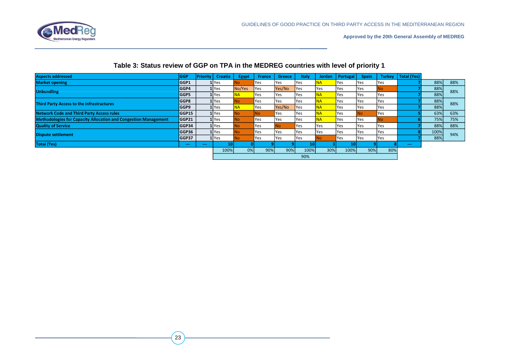

#### **Table 3: Status review of GGP on TPA in the MEDREG countries with level of priority 1**

| <b>Aspects addressed</b>                                               | <b>GGP</b> | Priority | <b>Croatia</b>     | <b>Egypt</b> | <b>France</b> | <b>Greece</b> | Italy | Jordan    | Portugal   | <b>Spain</b> | <b>Turkey</b> | <b>Total (Yes)</b> |      |     |
|------------------------------------------------------------------------|------------|----------|--------------------|--------------|---------------|---------------|-------|-----------|------------|--------------|---------------|--------------------|------|-----|
| <b>Market opening</b>                                                  | GGP1       |          | 1 <sub>Yes</sub>   | No.          | Yes           | Yes           | Yes   | NA        | <b>Yes</b> | Yes          | Yes           |                    | 88%  | 88% |
| <b>Unbundling</b>                                                      | GGP4       |          | 1 Yes              | No/Yes       | Yes           | Yes/No        | Yes   | Yes       | Yes        | Yes          | No.           |                    | 88%  | 88% |
|                                                                        | GGP5       |          | 1 Yes              | <b>NA</b>    | Yes           | Yes           | Yes   | <b>NA</b> | Yes        | Yes          | Yes           |                    | 88%  |     |
| <b>Third Party Access to the infrastructures</b>                       |            |          | 1 Yes              | No.          | Yes           | Yes           | Yes   | <b>NA</b> | <b>Yes</b> | Yes          | <b>Yes</b>    |                    | 88%  | 88% |
|                                                                        |            |          | 1 <sub>Yes</sub>   | <b>NA</b>    | Yes           | Yes/No        | Yes   | <b>NA</b> | <b>Yes</b> | Yes          | Yes           |                    | 88%  |     |
| <b>Network Code and Third Party Access rules</b>                       | GGP15      |          | 1 <sub>Yes</sub>   | <b>INo</b>   | No.           | Yes           | Yes   | <b>NA</b> | Yes        | No           | Yes           |                    | 63%  | 63% |
| <b>Methodologies for Capacity Allocation and Congestion Management</b> | GGP21      |          | 1 <sub>Yes</sub>   | <b>No</b>    | Yes           | Yes           | Yes   | <b>NA</b> | <b>Yes</b> | Yes          | No            |                    | 75%  | 75% |
| <b>Quality of Service</b>                                              | GGP34      |          | 1 <sub>l</sub> Yes | INo.         | Yes           | No.           | Yes   | Yes       | Yes        | Yes          | <b>Yes</b>    |                    | 88%  | 88% |
| <b>Dispute settlement</b>                                              | GGP36      |          | 1 <sub>Yes</sub>   | No.          | Yes           | Yes           | Yes   | Yes       | lYes.      | Yes          | Yes           |                    | 100% | 94% |
|                                                                        | GGP37      |          | 1 Yes              | <b>INo</b>   | Yes           | Yes           | Yes   |           | Yes        | Yes          | Yes           |                    | 88%  |     |
| <b>Total (Yes)</b>                                                     | $\cdots$   | $\cdots$ | <b>10</b>          |              |               |               | 10    |           |            |              |               | $\sim$             |      |     |
|                                                                        |            |          | 100%               | 0%           | 90%           | 90%           | 100%  | 30%       | 100%       | 90%          | 80%           |                    |      |     |
|                                                                        |            |          | 90%                |              |               |               |       |           |            |              |               |                    |      |     |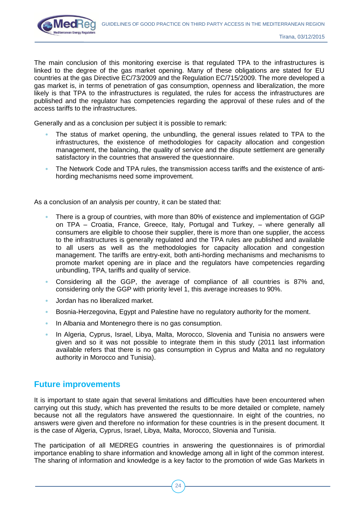

The main conclusion of this monitoring exercise is that regulated TPA to the infrastructures is linked to the degree of the gas market opening. Many of these obligations are stated for EU countries at the gas Directive EC/73/2009 and the Regulation EC/715/2009. The more developed a gas market is, in terms of penetration of gas consumption, openness and liberalization, the more likely is that TPA to the infrastructures is regulated, the rules for access the infrastructures are published and the regulator has competencies regarding the approval of these rules and of the access tariffs to the infrastructures.

Generally and as a conclusion per subject it is possible to remark:

- The status of market opening, the unbundling, the general issues related to TPA to the infrastructures, the existence of methodologies for capacity allocation and congestion management, the balancing, the quality of service and the dispute settlement are generally satisfactory in the countries that answered the questionnaire.
- The Network Code and TPA rules, the transmission access tariffs and the existence of antihording mechanisms need some improvement.

As a conclusion of an analysis per country, it can be stated that:

- There is a group of countries, with more than 80% of existence and implementation of GGP on TPA – Croatia, France, Greece, Italy, Portugal and Turkey, – where generally all consumers are eligible to choose their supplier, there is more than one supplier, the access to the infrastructures is generally regulated and the TPA rules are published and available to all users as well as the methodologies for capacity allocation and congestion management. The tariffs are entry-exit, both anti-hording mechanisms and mechanisms to promote market opening are in place and the regulators have competencies regarding unbundling, TPA, tariffs and quality of service.
- Considering all the GGP, the average of compliance of all countries is 87% and, considering only the GGP with priority level 1, this average increases to 90%.
- Jordan has no liberalized market.
- Bosnia-Herzegovina, Egypt and Palestine have no regulatory authority for the moment.
- In Albania and Montenegro there is no gas consumption.
- In Algeria, Cyprus, Israel, Libya, Malta, Morocco, Slovenia and Tunisia no answers were given and so it was not possible to integrate them in this study (2011 last information available refers that there is no gas consumption in Cyprus and Malta and no regulatory authority in Morocco and Tunisia).

#### **Future improvements**

It is important to state again that several limitations and difficulties have been encountered when carrying out this study, which has prevented the results to be more detailed or complete, namely because not all the regulators have answered the questionnaire. In eight of the countries, no answers were given and therefore no information for these countries is in the present document. It is the case of Algeria, Cyprus, Israel, Libya, Malta, Morocco, Slovenia and Tunisia.

The participation of all MEDREG countries in answering the questionnaires is of primordial importance enabling to share information and knowledge among all in light of the common interest. The sharing of information and knowledge is a key factor to the promotion of wide Gas Markets in